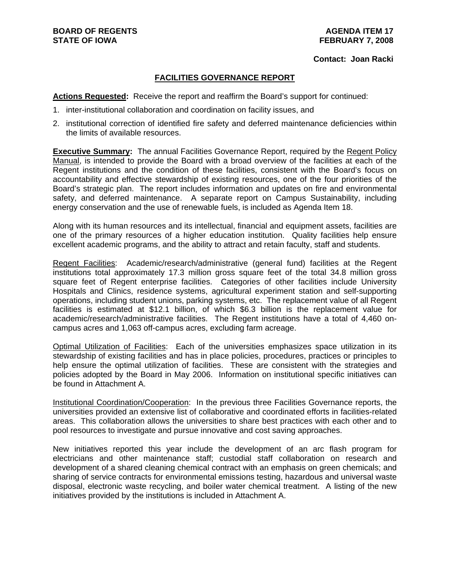### **Contact: Joan Racki**

# **FACILITIES GOVERNANCE REPORT**

**Actions Requested:** Receive the report and reaffirm the Board's support for continued:

- 1. inter-institutional collaboration and coordination on facility issues, and
- 2. institutional correction of identified fire safety and deferred maintenance deficiencies within the limits of available resources.

**Executive Summary:** The annual Facilities Governance Report, required by the Regent Policy Manual, is intended to provide the Board with a broad overview of the facilities at each of the Regent institutions and the condition of these facilities, consistent with the Board's focus on accountability and effective stewardship of existing resources, one of the four priorities of the Board's strategic plan. The report includes information and updates on fire and environmental safety, and deferred maintenance. A separate report on Campus Sustainability, including energy conservation and the use of renewable fuels, is included as Agenda Item 18.

Along with its human resources and its intellectual, financial and equipment assets, facilities are one of the primary resources of a higher education institution. Quality facilities help ensure excellent academic programs, and the ability to attract and retain faculty, staff and students.

Regent Facilities: Academic/research/administrative (general fund) facilities at the Regent institutions total approximately 17.3 million gross square feet of the total 34.8 million gross square feet of Regent enterprise facilities. Categories of other facilities include University Hospitals and Clinics, residence systems, agricultural experiment station and self-supporting operations, including student unions, parking systems, etc. The replacement value of all Regent facilities is estimated at \$12.1 billion, of which \$6.3 billion is the replacement value for academic/research/administrative facilities. The Regent institutions have a total of 4,460 oncampus acres and 1,063 off-campus acres, excluding farm acreage.

Optimal Utilization of Facilities: Each of the universities emphasizes space utilization in its stewardship of existing facilities and has in place policies, procedures, practices or principles to help ensure the optimal utilization of facilities. These are consistent with the strategies and policies adopted by the Board in May 2006. Information on institutional specific initiatives can be found in Attachment A.

Institutional Coordination/Cooperation: In the previous three Facilities Governance reports, the universities provided an extensive list of collaborative and coordinated efforts in facilities-related areas. This collaboration allows the universities to share best practices with each other and to pool resources to investigate and pursue innovative and cost saving approaches.

New initiatives reported this year include the development of an arc flash program for electricians and other maintenance staff; custodial staff collaboration on research and development of a shared cleaning chemical contract with an emphasis on green chemicals; and sharing of service contracts for environmental emissions testing, hazardous and universal waste disposal, electronic waste recycling, and boiler water chemical treatment. A listing of the new initiatives provided by the institutions is included in Attachment A.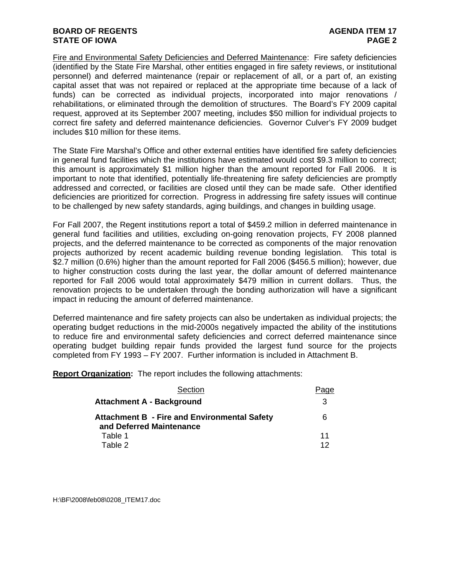# **BOARD OF REGENTS AGENUS AGENDA ITEM 17 STATE OF IOWA** PAGE 2

Fire and Environmental Safety Deficiencies and Deferred Maintenance: Fire safety deficiencies (identified by the State Fire Marshal, other entities engaged in fire safety reviews, or institutional personnel) and deferred maintenance (repair or replacement of all, or a part of, an existing capital asset that was not repaired or replaced at the appropriate time because of a lack of funds) can be corrected as individual projects, incorporated into major renovations / rehabilitations, or eliminated through the demolition of structures. The Board's FY 2009 capital request, approved at its September 2007 meeting, includes \$50 million for individual projects to correct fire safety and deferred maintenance deficiencies. Governor Culver's FY 2009 budget includes \$10 million for these items.

The State Fire Marshal's Office and other external entities have identified fire safety deficiencies in general fund facilities which the institutions have estimated would cost \$9.3 million to correct; this amount is approximately \$1 million higher than the amount reported for Fall 2006. It is important to note that identified, potentially life-threatening fire safety deficiencies are promptly addressed and corrected, or facilities are closed until they can be made safe. Other identified deficiencies are prioritized for correction. Progress in addressing fire safety issues will continue to be challenged by new safety standards, aging buildings, and changes in building usage.

For Fall 2007, the Regent institutions report a total of \$459.2 million in deferred maintenance in general fund facilities and utilities, excluding on-going renovation projects, FY 2008 planned projects, and the deferred maintenance to be corrected as components of the major renovation projects authorized by recent academic building revenue bonding legislation. This total is \$2.7 million (0.6%) higher than the amount reported for Fall 2006 (\$456.5 million); however, due to higher construction costs during the last year, the dollar amount of deferred maintenance reported for Fall 2006 would total approximately \$479 million in current dollars. Thus, the renovation projects to be undertaken through the bonding authorization will have a significant impact in reducing the amount of deferred maintenance.

Deferred maintenance and fire safety projects can also be undertaken as individual projects; the operating budget reductions in the mid-2000s negatively impacted the ability of the institutions to reduce fire and environmental safety deficiencies and correct deferred maintenance since operating budget building repair funds provided the largest fund source for the projects completed from FY 1993 – FY 2007. Further information is included in Attachment B.

**Report Organization:** The report includes the following attachments:

| Section                                                                         | ιαe      |
|---------------------------------------------------------------------------------|----------|
| <b>Attachment A - Background</b>                                                | 3        |
| <b>Attachment B - Fire and Environmental Safety</b><br>and Deferred Maintenance | 6        |
| Table 1<br>Table 2                                                              | 11<br>12 |
|                                                                                 |          |

H:\BF\2008\feb08\0208\_ITEM17.doc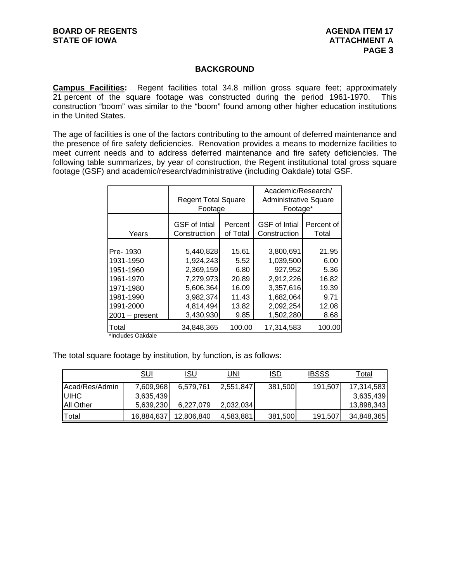# **BACKGROUND**

**Campus Facilities:** Regent facilities total 34.8 million gross square feet; approximately 21 percent of the square footage was constructed during the period 1961-1970. This construction "boom" was similar to the "boom" found among other higher education institutions in the United States.

The age of facilities is one of the factors contributing to the amount of deferred maintenance and the presence of fire safety deficiencies. Renovation provides a means to modernize facilities to meet current needs and to address deferred maintenance and fire safety deficiencies. The following table summarizes, by year of construction, the Regent institutional total gross square footage (GSF) and academic/research/administrative (including Oakdale) total GSF.

|                                                                                        | <b>Regent Total Square</b><br>Footage                                                                |                                                                   | Academic/Research/<br><b>Administrative Square</b><br>Footage*                        |                                                                  |  |  |  |  |  |
|----------------------------------------------------------------------------------------|------------------------------------------------------------------------------------------------------|-------------------------------------------------------------------|---------------------------------------------------------------------------------------|------------------------------------------------------------------|--|--|--|--|--|
| Years                                                                                  | <b>GSF</b> of Intial<br>Construction                                                                 | Percent<br>of Total                                               | <b>GSF</b> of Intial<br>Construction                                                  | Percent of<br>Total                                              |  |  |  |  |  |
| Pre-1930<br>1931-1950<br>1951-1960<br>1961-1970<br>1971-1980<br>1981-1990<br>1991-2000 | 5,440,828<br>1,924,243<br>2,369,159<br>7,279,973<br>5,606,364<br>3,982,374<br>4,814,494<br>3,430,930 | 15.61<br>5.52<br>6.80<br>20.89<br>16.09<br>11.43<br>13.82<br>9.85 | 3,800,691<br>1,039,500<br>927,952<br>2,912,226<br>3,357,616<br>1.682.064<br>2,092,254 | 21.95<br>6.00<br>5.36<br>16.82<br>19.39<br>9.71<br>12.08<br>8.68 |  |  |  |  |  |
| $2001 - present$<br>Total                                                              | 34,848,365                                                                                           | 100.00                                                            | 1,502,280<br>17,314,583                                                               | 100.00                                                           |  |  |  |  |  |

\*Includes Oakdale

The total square footage by institution, by function, is as follows:

|                       | <b>SUI</b> | isu        | UNI       | ISD     | <b>IBSSS</b> | Total      |
|-----------------------|------------|------------|-----------|---------|--------------|------------|
| <b>Acad/Res/Admin</b> | 7,609,968  | 6,579,761  | 2,551,847 | 381,500 | 191,507      | 17,314,583 |
| <b>UIHC</b>           | 3,635,439  |            |           |         |              | 3,635,439  |
| <b>All Other</b>      | 5,639,230  | 6,227,079  | 2,032,034 |         |              | 13,898,343 |
| ITotal                | 16,884,637 | 12,806,840 | 4,583,881 | 381,500 | 191,507      | 34,848,365 |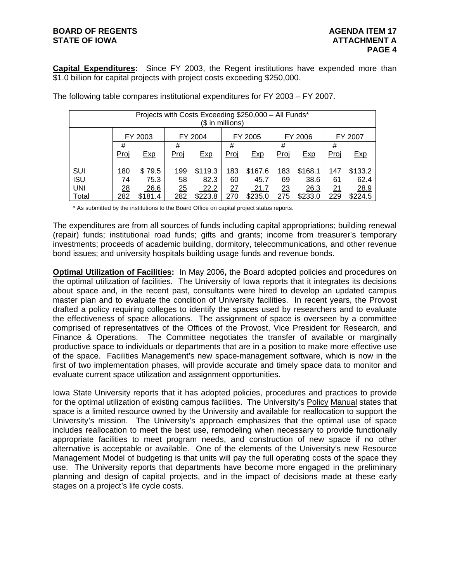# **BOARD OF REGENTS AGENUS AGENDA ITEM 17 STATE OF IOWA ATTACHMENT A**

**Capital Expenditures:** Since FY 2003, the Regent institutions have expended more than \$1.0 billion for capital projects with project costs exceeding \$250,000.

| Projects with Costs Exceeding \$250,000 - All Funds*<br>(\$ in millions) |                |         |      |            |      |            |      |            |      |         |  |  |  |
|--------------------------------------------------------------------------|----------------|---------|------|------------|------|------------|------|------------|------|---------|--|--|--|
|                                                                          |                | FY 2003 |      | FY 2004    |      | FY 2005    |      | FY 2006    |      | FY 2007 |  |  |  |
|                                                                          | #              |         | #    |            | #    |            | #    |            | #    |         |  |  |  |
|                                                                          | Proj           | Exp     | Proj | <b>Exp</b> | Proj | <b>Exp</b> | Proj | <b>Exp</b> | Proj | Exp     |  |  |  |
| <b>SUI</b>                                                               | 180            | \$79.5  | 199  | \$119.3    | 183  | \$167.6    | 183  | \$168.1    | 147  | \$133.2 |  |  |  |
| <b>ISU</b>                                                               | 74             | 75.3    | 58   | 82.3       | 60   | 45.7       | 69   | 38.6       | 61   | 62.4    |  |  |  |
| <b>UNI</b>                                                               | $\frac{28}{1}$ | 26.6    | 25   | 22.2       | 27   | 21.7       | 23   | 26.3       | 21   | 28.9    |  |  |  |
| Total                                                                    | 282            | \$181.4 | 282  | \$223.8    | 270  | \$235.0    | 275  | \$233.0    | 229  | \$224.5 |  |  |  |

The following table compares institutional expenditures for FY 2003 – FY 2007.

\* As submitted by the institutions to the Board Office on capital project status reports.

The expenditures are from all sources of funds including capital appropriations; building renewal (repair) funds; institutional road funds; gifts and grants; income from treasurer's temporary investments; proceeds of academic building, dormitory, telecommunications, and other revenue bond issues; and university hospitals building usage funds and revenue bonds.

**Optimal Utilization of Facilities:** In May 2006**,** the Board adopted policies and procedures on the optimal utilization of facilities. The University of Iowa reports that it integrates its decisions about space and, in the recent past, consultants were hired to develop an updated campus master plan and to evaluate the condition of University facilities. In recent years, the Provost drafted a policy requiring colleges to identify the spaces used by researchers and to evaluate the effectiveness of space allocations. The assignment of space is overseen by a committee comprised of representatives of the Offices of the Provost, Vice President for Research, and Finance & Operations. The Committee negotiates the transfer of available or marginally productive space to individuals or departments that are in a position to make more effective use of the space. Facilities Management's new space-management software, which is now in the first of two implementation phases, will provide accurate and timely space data to monitor and evaluate current space utilization and assignment opportunities.

Iowa State University reports that it has adopted policies, procedures and practices to provide for the optimal utilization of existing campus facilities. The University's Policy Manual states that space is a limited resource owned by the University and available for reallocation to support the University's mission. The University's approach emphasizes that the optimal use of space includes reallocation to meet the best use, remodeling when necessary to provide functionally appropriate facilities to meet program needs, and construction of new space if no other alternative is acceptable or available. One of the elements of the University's new Resource Management Model of budgeting is that units will pay the full operating costs of the space they use. The University reports that departments have become more engaged in the preliminary planning and design of capital projects, and in the impact of decisions made at these early stages on a project's life cycle costs.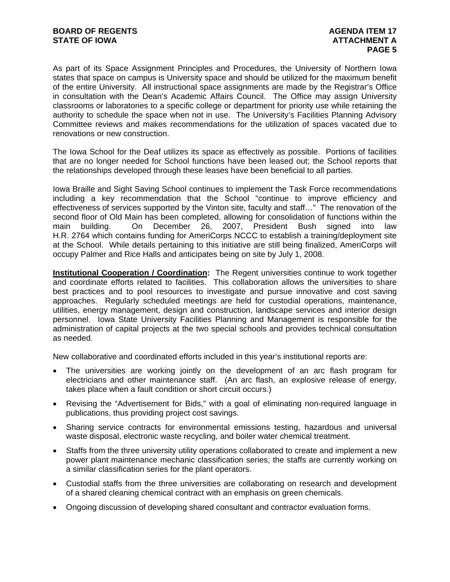As part of its Space Assignment Principles and Procedures, the University of Northern Iowa states that space on campus is University space and should be utilized for the maximum benefit of the entire University. All instructional space assignments are made by the Registrar's Office in consultation with the Dean's Academic Affairs Council. The Office may assign University classrooms or laboratories to a specific college or department for priority use while retaining the authority to schedule the space when not in use. The University's Facilities Planning Advisory Committee reviews and makes recommendations for the utilization of spaces vacated due to renovations or new construction.

The Iowa School for the Deaf utilizes its space as effectively as possible. Portions of facilities that are no longer needed for School functions have been leased out; the School reports that the relationships developed through these leases have been beneficial to all parties.

Iowa Braille and Sight Saving School continues to implement the Task Force recommendations including a key recommendation that the School "continue to improve efficiency and effectiveness of services supported by the Vinton site, faculty and staff…" The renovation of the second floor of Old Main has been completed, allowing for consolidation of functions within the main building. On December 26, 2007, President Bush signed into law H.R. 2764 which contains funding for AmeriCorps NCCC to establish a training/deployment site at the School. While details pertaining to this initiative are still being finalized, AmeriCorps will occupy Palmer and Rice Halls and anticipates being on site by July 1, 2008.

**Institutional Cooperation / Coordination:** The Regent universities continue to work together and coordinate efforts related to facilities. This collaboration allows the universities to share best practices and to pool resources to investigate and pursue innovative and cost saving approaches. Regularly scheduled meetings are held for custodial operations, maintenance, utilities, energy management, design and construction, landscape services and interior design personnel. Iowa State University Facilities Planning and Management is responsible for the administration of capital projects at the two special schools and provides technical consultation as needed.

New collaborative and coordinated efforts included in this year's institutional reports are:

- The universities are working jointly on the development of an arc flash program for electricians and other maintenance staff. (An arc flash, an explosive release of energy, takes place when a fault condition or short circuit occurs.)
- Revising the "Advertisement for Bids," with a goal of eliminating non-required language in publications, thus providing project cost savings.
- Sharing service contracts for environmental emissions testing, hazardous and universal waste disposal, electronic waste recycling, and boiler water chemical treatment.
- Staffs from the three university utility operations collaborated to create and implement a new power plant maintenance mechanic classification series; the staffs are currently working on a similar classification series for the plant operators.
- Custodial staffs from the three universities are collaborating on research and development of a shared cleaning chemical contract with an emphasis on green chemicals.
- Ongoing discussion of developing shared consultant and contractor evaluation forms.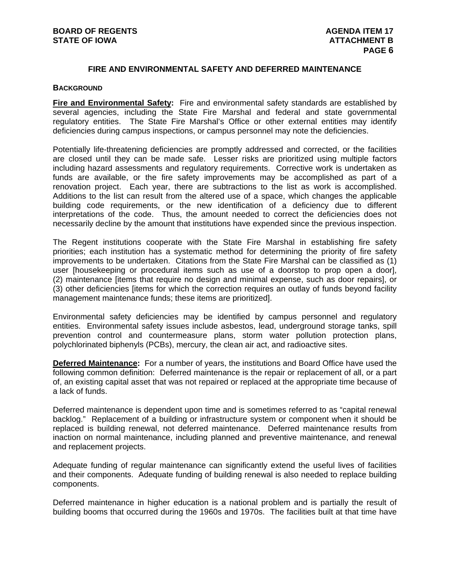# **FIRE AND ENVIRONMENTAL SAFETY AND DEFERRED MAINTENANCE**

### **BACKGROUND**

**Fire and Environmental Safety:** Fire and environmental safety standards are established by several agencies, including the State Fire Marshal and federal and state governmental regulatory entities. The State Fire Marshal's Office or other external entities may identify deficiencies during campus inspections, or campus personnel may note the deficiencies.

Potentially life-threatening deficiencies are promptly addressed and corrected, or the facilities are closed until they can be made safe. Lesser risks are prioritized using multiple factors including hazard assessments and regulatory requirements. Corrective work is undertaken as funds are available, or the fire safety improvements may be accomplished as part of a renovation project. Each year, there are subtractions to the list as work is accomplished. Additions to the list can result from the altered use of a space, which changes the applicable building code requirements, or the new identification of a deficiency due to different interpretations of the code. Thus, the amount needed to correct the deficiencies does not necessarily decline by the amount that institutions have expended since the previous inspection.

The Regent institutions cooperate with the State Fire Marshal in establishing fire safety priorities; each institution has a systematic method for determining the priority of fire safety improvements to be undertaken. Citations from the State Fire Marshal can be classified as (1) user [housekeeping or procedural items such as use of a doorstop to prop open a door], (2) maintenance [items that require no design and minimal expense, such as door repairs], or (3) other deficiencies [items for which the correction requires an outlay of funds beyond facility management maintenance funds; these items are prioritized].

Environmental safety deficiencies may be identified by campus personnel and regulatory entities. Environmental safety issues include asbestos, lead, underground storage tanks, spill prevention control and countermeasure plans, storm water pollution protection plans, polychlorinated biphenyls (PCBs), mercury, the clean air act, and radioactive sites.

**Deferred Maintenance:** For a number of years, the institutions and Board Office have used the following common definition: Deferred maintenance is the repair or replacement of all, or a part of, an existing capital asset that was not repaired or replaced at the appropriate time because of a lack of funds.

Deferred maintenance is dependent upon time and is sometimes referred to as "capital renewal backlog." Replacement of a building or infrastructure system or component when it should be replaced is building renewal, not deferred maintenance. Deferred maintenance results from inaction on normal maintenance, including planned and preventive maintenance, and renewal and replacement projects.

Adequate funding of regular maintenance can significantly extend the useful lives of facilities and their components. Adequate funding of building renewal is also needed to replace building components.

Deferred maintenance in higher education is a national problem and is partially the result of building booms that occurred during the 1960s and 1970s. The facilities built at that time have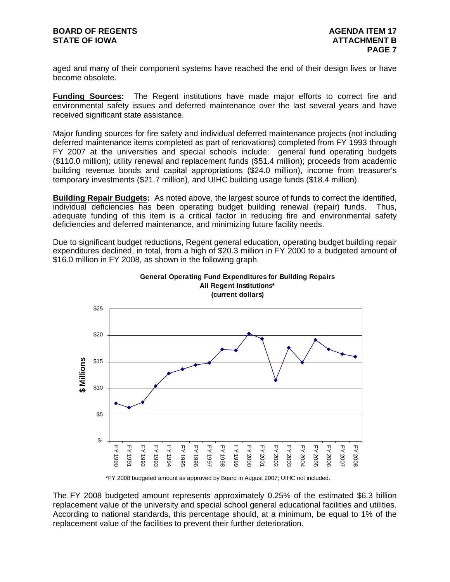aged and many of their component systems have reached the end of their design lives or have become obsolete.

**Funding Sources:** The Regent institutions have made major efforts to correct fire and environmental safety issues and deferred maintenance over the last several years and have received significant state assistance.

Major funding sources for fire safety and individual deferred maintenance projects (not including deferred maintenance items completed as part of renovations) completed from FY 1993 through FY 2007 at the universities and special schools include: general fund operating budgets (\$110.0 million); utility renewal and replacement funds (\$51.4 million); proceeds from academic building revenue bonds and capital appropriations (\$24.0 million), income from treasurer's temporary investments (\$21.7 million), and UIHC building usage funds (\$18.4 million).

**Building Repair Budgets:** As noted above, the largest source of funds to correct the identified. individual deficiencies has been operating budget building renewal (repair) funds. Thus, adequate funding of this item is a critical factor in reducing fire and environmental safety deficiencies and deferred maintenance, and minimizing future facility needs.

Due to significant budget reductions, Regent general education, operating budget building repair expenditures declined, in total, from a high of \$20.3 million in FY 2000 to a budgeted amount of \$16.0 million in FY 2008, as shown in the following graph.





\*FY 2008 budgeted amount as approved by Board in August 2007; UIHC not included.

The FY 2008 budgeted amount represents approximately 0.25% of the estimated \$6.3 billion replacement value of the university and special school general educational facilities and utilities. According to national standards, this percentage should, at a minimum, be equal to 1% of the replacement value of the facilities to prevent their further deterioration.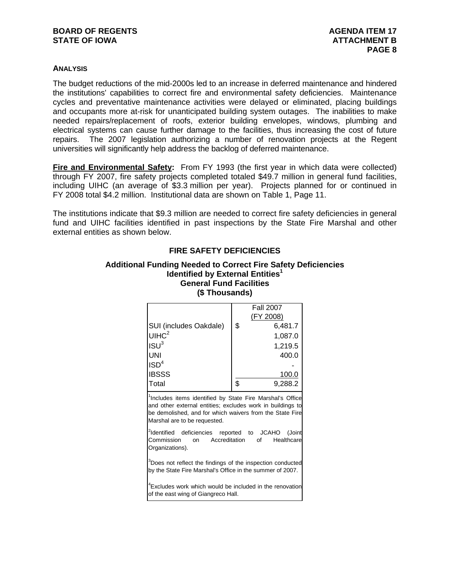# **ANALYSIS**

The budget reductions of the mid-2000s led to an increase in deferred maintenance and hindered the institutions' capabilities to correct fire and environmental safety deficiencies. Maintenance cycles and preventative maintenance activities were delayed or eliminated, placing buildings and occupants more at-risk for unanticipated building system outages. The inabilities to make needed repairs/replacement of roofs, exterior building envelopes, windows, plumbing and electrical systems can cause further damage to the facilities, thus increasing the cost of future repairs. The 2007 legislation authorizing a number of renovation projects at the Regent universities will significantly help address the backlog of deferred maintenance.

**Fire and Environmental Safety:** From FY 1993 (the first year in which data were collected) through FY 2007, fire safety projects completed totaled \$49.7 million in general fund facilities, including UIHC (an average of \$3.3 million per year). Projects planned for or continued in FY 2008 total \$4.2 million. Institutional data are shown on Table 1, Page 11.

The institutions indicate that \$9.3 million are needed to correct fire safety deficiencies in general fund and UIHC facilities identified in past inspections by the State Fire Marshal and other external entities as shown below.

| (จ Thousands)                                                                                                                                                                                                                   |               |                                      |  |  |  |  |  |  |  |  |
|---------------------------------------------------------------------------------------------------------------------------------------------------------------------------------------------------------------------------------|---------------|--------------------------------------|--|--|--|--|--|--|--|--|
|                                                                                                                                                                                                                                 |               | <b>Fall 2007</b><br><u>(FY 2008)</u> |  |  |  |  |  |  |  |  |
| SUI (includes Oakdale)                                                                                                                                                                                                          | \$            | 6,481.7                              |  |  |  |  |  |  |  |  |
| U <sup>2</sup>                                                                                                                                                                                                                  |               | 1,087.0                              |  |  |  |  |  |  |  |  |
| ISU <sup>3</sup>                                                                                                                                                                                                                |               | 1,219.5                              |  |  |  |  |  |  |  |  |
| UNI                                                                                                                                                                                                                             |               | 400.0                                |  |  |  |  |  |  |  |  |
| $\mathsf{ISD}^4$                                                                                                                                                                                                                |               |                                      |  |  |  |  |  |  |  |  |
| <b>IBSSS</b>                                                                                                                                                                                                                    |               | 100.0                                |  |  |  |  |  |  |  |  |
| Total                                                                                                                                                                                                                           | \$            | 9,288.2                              |  |  |  |  |  |  |  |  |
| <sup>1</sup> Includes items identified by State Fire Marshal's Office<br>and other external entities; excludes work in buildings to<br>be demolished, and for which waivers from the State Fire<br>Marshal are to be requested. |               |                                      |  |  |  |  |  |  |  |  |
| dentified deficiencies reported to JCAHO<br>Commission<br>on<br>Organizations).                                                                                                                                                 | Accreditation | (Joint<br>Healthcare<br>of a         |  |  |  |  |  |  |  |  |
|                                                                                                                                                                                                                                 |               |                                      |  |  |  |  |  |  |  |  |

# **FIRE SAFETY DEFICIENCIES Additional Funding Needed to Correct Fire Safety Deficiencies**

**Identified by External Entities<sup>1</sup> General Fund Facilities (\$ Thousands)** 

<sup>3</sup>Does not reflect the findings of the inspection conducted by the State Fire Marshal's Office in the summer of 2007.

<sup>4</sup> Excludes work which would be included in the renovation of the east wing of Giangreco Hall.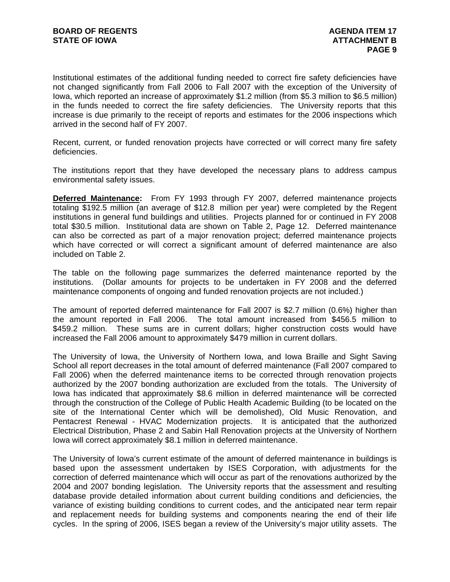Institutional estimates of the additional funding needed to correct fire safety deficiencies have not changed significantly from Fall 2006 to Fall 2007 with the exception of the University of Iowa, which reported an increase of approximately \$1.2 million (from \$5.3 million to \$6.5 million) in the funds needed to correct the fire safety deficiencies. The University reports that this increase is due primarily to the receipt of reports and estimates for the 2006 inspections which arrived in the second half of FY 2007.

Recent, current, or funded renovation projects have corrected or will correct many fire safety deficiencies.

The institutions report that they have developed the necessary plans to address campus environmental safety issues.

**Deferred Maintenance:** From FY 1993 through FY 2007, deferred maintenance projects totaling \$192.5 million (an average of \$12.8 million per year) were completed by the Regent institutions in general fund buildings and utilities. Projects planned for or continued in FY 2008 total \$30.5 million. Institutional data are shown on Table 2, Page 12. Deferred maintenance can also be corrected as part of a major renovation project; deferred maintenance projects which have corrected or will correct a significant amount of deferred maintenance are also included on Table 2.

The table on the following page summarizes the deferred maintenance reported by the institutions. (Dollar amounts for projects to be undertaken in FY 2008 and the deferred maintenance components of ongoing and funded renovation projects are not included.)

The amount of reported deferred maintenance for Fall 2007 is \$2.7 million (0.6%) higher than the amount reported in Fall 2006. The total amount increased from \$456.5 million to \$459.2 million. These sums are in current dollars; higher construction costs would have increased the Fall 2006 amount to approximately \$479 million in current dollars.

The University of Iowa, the University of Northern Iowa, and Iowa Braille and Sight Saving School all report decreases in the total amount of deferred maintenance (Fall 2007 compared to Fall 2006) when the deferred maintenance items to be corrected through renovation projects authorized by the 2007 bonding authorization are excluded from the totals. The University of Iowa has indicated that approximately \$8.6 million in deferred maintenance will be corrected through the construction of the College of Public Health Academic Building (to be located on the site of the International Center which will be demolished), Old Music Renovation, and Pentacrest Renewal - HVAC Modernization projects. It is anticipated that the authorized Electrical Distribution, Phase 2 and Sabin Hall Renovation projects at the University of Northern Iowa will correct approximately \$8.1 million in deferred maintenance.

The University of Iowa's current estimate of the amount of deferred maintenance in buildings is based upon the assessment undertaken by ISES Corporation, with adjustments for the correction of deferred maintenance which will occur as part of the renovations authorized by the 2004 and 2007 bonding legislation.The University reports that the assessment and resulting database provide detailed information about current building conditions and deficiencies, the variance of existing building conditions to current codes, and the anticipated near term repair and replacement needs for building systems and components nearing the end of their life cycles. In the spring of 2006, ISES began a review of the University's major utility assets. The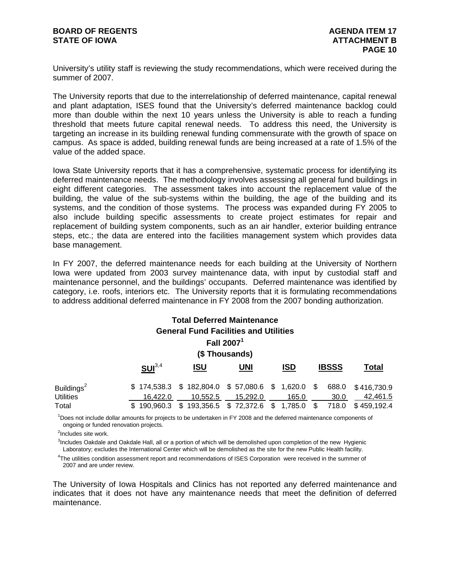University's utility staff is reviewing the study recommendations, which were received during the summer of 2007.

The University reports that due to the interrelationship of deferred maintenance, capital renewal and plant adaptation, ISES found that the University's deferred maintenance backlog could more than double within the next 10 years unless the University is able to reach a funding threshold that meets future capital renewal needs. To address this need, the University is targeting an increase in its building renewal funding commensurate with the growth of space on campus. As space is added, building renewal funds are being increased at a rate of 1.5% of the value of the added space.

Iowa State University reports that it has a comprehensive, systematic process for identifying its deferred maintenance needs. The methodology involves assessing all general fund buildings in eight different categories. The assessment takes into account the replacement value of the building, the value of the sub-systems within the building, the age of the building and its systems, and the condition of those systems. The process was expanded during FY 2005 to also include building specific assessments to create project estimates for repair and replacement of building system components, such as an air handler, exterior building entrance steps, etc.; the data are entered into the facilities management system which provides data base management.

In FY 2007, the deferred maintenance needs for each building at the University of Northern Iowa were updated from 2003 survey maintenance data, with input by custodial staff and maintenance personnel, and the buildings' occupants. Deferred maintenance was identified by category, i.e. roofs, interiors etc. The University reports that it is formulating recommendations to address additional deferred maintenance in FY 2008 from the 2007 bonding authorization.

| <b>Total Deferred Maintenance</b><br><b>General Fund Facilities and Utilities</b><br>Fall 2007 <sup>1</sup><br>(\$Thousands) |                    |                                                                  |            |            |               |                         |  |  |  |  |  |  |  |
|------------------------------------------------------------------------------------------------------------------------------|--------------------|------------------------------------------------------------------|------------|------------|---------------|-------------------------|--|--|--|--|--|--|--|
|                                                                                                                              | SUI <sup>3,4</sup> | <u>ISU</u>                                                       | <b>UNI</b> | <b>ISD</b> | <b>IBSSS</b>  | Total                   |  |  |  |  |  |  |  |
| Buildings <sup>2</sup><br><b>Utilities</b>                                                                                   | 16.422.0           | $$174,538.3$ $$182,804.0$ $$57,080.6$ $$1,620.0$ $$$<br>10.552.5 | 15.292.0   | 165.0      | 688.0<br>30.0 | \$416,730.9<br>42.461.5 |  |  |  |  |  |  |  |
| Total                                                                                                                        | 190.960.3<br>\$.   | $$193,356.5$ $$72,372.6$ $$1,785.0$                              |            |            | 718.0<br>\$.  | \$459.192.4             |  |  |  |  |  |  |  |

 ongoing or funded renovation projects. <sup>1</sup>Does not include dollar amounts for projects to be undertaken in FY 2008 and the deferred maintenance components of

<sup>2</sup>Includes site work.

 Laboratory; excludes the International Center which will be demolished as the site for the new Public Health facility. <sup>3</sup>Includes Oakdale and Oakdale Hall, all or a portion of which will be demolished upon completion of the new Hygienic

 2007 and are under review. 4 The utilities condition assessment report and recommendations of ISES Corporation were received in the summer of

The University of Iowa Hospitals and Clinics has not reported any deferred maintenance and indicates that it does not have any maintenance needs that meet the definition of deferred maintenance.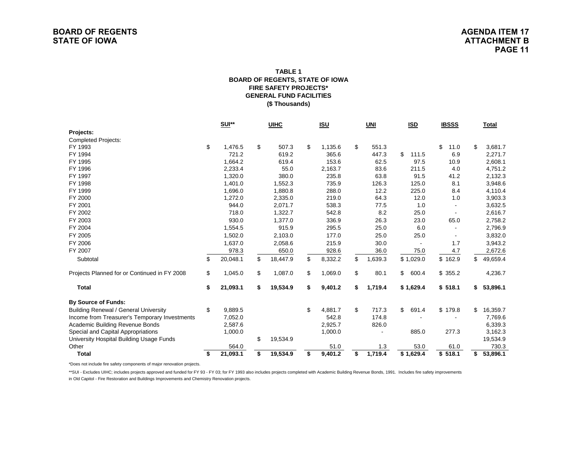#### **FIRE SAFETY PROJECTS\*GENERAL FUND FACILITIES(\$ Thousands) TABLE 1BOARD OF REGENTS, STATE OF IOWA**

|                                               | <b>SUI**</b> |          | <b>UIHC</b> |          | <u>ISU</u>    | UNI |         | <b>ISD</b> |                         | <b>IBSSS</b> |         | <b>Total</b>   |
|-----------------------------------------------|--------------|----------|-------------|----------|---------------|-----|---------|------------|-------------------------|--------------|---------|----------------|
| Projects:                                     |              |          |             |          |               |     |         |            |                         |              |         |                |
| <b>Completed Projects:</b>                    |              |          |             |          |               |     |         |            |                         |              |         |                |
| FY 1993                                       | \$           | 1.476.5  | \$          | 507.3    | \$<br>1,135.6 | \$  | 551.3   |            |                         | \$           | 11.0    | \$<br>3,681.7  |
| FY 1994                                       |              | 721.2    |             | 619.2    | 365.6         |     | 447.3   | \$         | 111.5                   |              | 6.9     | 2,271.7        |
| FY 1995                                       |              | 1,664.2  |             | 619.4    | 153.6         |     | 62.5    |            | 97.5                    |              | 10.9    | 2,608.1        |
| FY 1996                                       |              | 2,233.4  |             | 55.0     | 2,163.7       |     | 83.6    |            | 211.5                   |              | 4.0     | 4,751.2        |
| FY 1997                                       |              | 1,320.0  |             | 380.0    | 235.8         |     | 63.8    |            | 91.5                    |              | 41.2    | 2,132.3        |
| FY 1998                                       |              | 1,401.0  |             | 1,552.3  | 735.9         |     | 126.3   |            | 125.0                   |              | 8.1     | 3,948.6        |
| FY 1999                                       |              | 1,696.0  |             | 1,880.8  | 288.0         |     | 12.2    |            | 225.0                   |              | 8.4     | 4,110.4        |
| FY 2000                                       |              | 1,272.0  |             | 2,335.0  | 219.0         |     | 64.3    |            | 12.0                    |              | 1.0     | 3,903.3        |
| FY 2001                                       |              | 944.0    |             | 2,071.7  | 538.3         |     | 77.5    |            | 1.0                     |              |         | 3,632.5        |
| FY 2002                                       |              | 718.0    |             | 1,322.7  | 542.8         |     | 8.2     |            | 25.0                    |              |         | 2,616.7        |
| FY 2003                                       |              | 930.0    |             | 1,377.0  | 336.9         |     | 26.3    |            | 23.0                    |              | 65.0    | 2,758.2        |
| FY 2004                                       |              | 1,554.5  |             | 915.9    | 295.5         |     | 25.0    |            | 6.0                     |              |         | 2,796.9        |
| FY 2005                                       |              | 1,502.0  |             | 2,103.0  | 177.0         |     | 25.0    |            | 25.0                    |              |         | 3,832.0        |
| FY 2006                                       |              | 1,637.0  |             | 2,058.6  | 215.9         |     | 30.0    |            |                         |              | 1.7     | 3,943.2        |
| FY 2007                                       |              | 978.3    |             | 650.0    | 928.6         |     | 36.0    |            | 75.0                    |              | 4.7     | 2,672.6        |
| Subtotal                                      | \$           | 20,048.1 | \$          | 18,447.9 | \$<br>8,332.2 | \$  | 1,639.3 |            | \$1,029.0               |              | \$162.9 | \$<br>49,659.4 |
| Projects Planned for or Continued in FY 2008  | \$           | 1,045.0  | \$          | 1,087.0  | \$<br>1,069.0 | \$  | 80.1    | \$         | 600.4                   |              | \$355.2 | 4,236.7        |
| <b>Total</b>                                  | \$           | 21,093.1 | \$          | 19,534.9 | \$<br>9,401.2 | \$  | 1,719.4 |            | \$1,629.4               |              | \$518.1 | \$<br>53,896.1 |
| <b>By Source of Funds:</b>                    |              |          |             |          |               |     |         |            |                         |              |         |                |
| <b>Building Renewal / General University</b>  | \$           | 9,889.5  |             |          | \$<br>4,881.7 | \$  | 717.3   | \$         | 691.4                   |              | \$179.8 | \$<br>16,359.7 |
| Income from Treasurer's Temporary Investments |              | 7,052.0  |             |          | 542.8         |     | 174.8   |            |                         |              |         | 7,769.6        |
| Academic Building Revenue Bonds               |              | 2,587.6  |             |          | 2,925.7       |     | 826.0   |            |                         |              |         | 6,339.3        |
| Special and Capital Appropriations            |              | 1,000.0  |             |          | 1,000.0       |     |         |            | 885.0                   |              | 277.3   | 3,162.3        |
| University Hospital Building Usage Funds      |              |          | \$          | 19,534.9 |               |     |         |            |                         |              |         | 19,534.9       |
| Other                                         |              | 564.0    |             |          | 51.0          |     | 1.3     |            | 53.0                    |              | 61.0    | 730.3          |
| <b>Total</b>                                  | \$           | 21,093.1 | \$          | 19,534.9 | \$<br>9,401.2 | \$  | 1,719.4 |            | $\overline{\$}$ 1,629.4 |              | \$518.1 | \$<br>53,896.1 |

\*Does not include fire safety components of major renovation projects.

\*\*SUI - Excludes UIHC; includes projects approved and funded for FY 93 - FY 03; for FY 1993 also includes projects completed with Academic Building Revenue Bonds, 1991. Includes fire safety improvements in Old Capitol - Fire Restoration and Buildings Improvements and Chemistry Renovation projects.